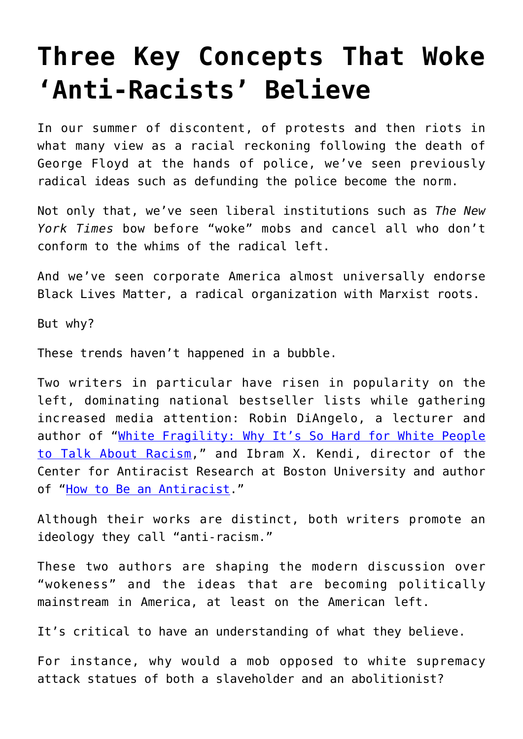## **[Three Key Concepts That Woke](https://intellectualtakeout.org/2020/08/three-key-concepts-that-woke-anti-racists-believe/) ['Anti-Racists' Believe](https://intellectualtakeout.org/2020/08/three-key-concepts-that-woke-anti-racists-believe/)**

In our summer of discontent, of protests and then riots in what many view as a racial reckoning following the death of George Floyd at the hands of police, we've seen previously radical ideas such as defunding the police become the norm.

Not only that, we've seen liberal institutions such as *The New York Times* bow before "woke" mobs and cancel all who don't conform to the whims of the radical left.

And we've seen corporate America almost universally endorse Black Lives Matter, a radical organization with Marxist roots.

But why?

These trends haven't happened in a bubble.

Two writers in particular have risen in popularity on the left, dominating national bestseller lists while gathering increased media attention: Robin DiAngelo, a lecturer and author of "[White Fragility: Why It's So Hard for White People](https://www.amazon.com/gp/product/0807047414/ref=as_li_tl?ie=UTF8&camp=1789&creative=9325&creativeASIN=0807047414&linkCode=as2&tag=intelltakeo0d-20&linkId=7c5da60d538d265993d755723d1a57ab) [to Talk About Racism](https://www.amazon.com/gp/product/0807047414/ref=as_li_tl?ie=UTF8&camp=1789&creative=9325&creativeASIN=0807047414&linkCode=as2&tag=intelltakeo0d-20&linkId=7c5da60d538d265993d755723d1a57ab)," and Ibram X. Kendi, director of the Center for Antiracist Research at Boston University and author of ["How to Be an Antiracist.](https://www.amazon.com/gp/product/0525509283/ref=as_li_tl?ie=UTF8&camp=1789&creative=9325&creativeASIN=0525509283&linkCode=as2&tag=intelltakeo0d-20&linkId=09e53785c9a7b1c18b4a34a5eb41b3d5)"

Although their works are distinct, both writers promote an ideology they call "anti-racism."

These two authors are shaping the modern discussion over "wokeness" and the ideas that are becoming politically mainstream in America, at least on the American left.

It's critical to have an understanding of what they believe.

For instance, why would a mob opposed to white supremacy attack statues of both a slaveholder and an abolitionist?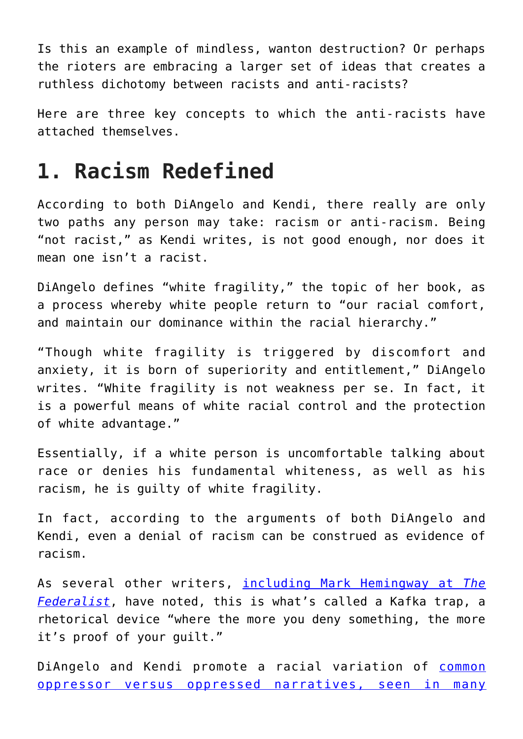Is this an example of mindless, wanton destruction? Or perhaps the rioters are embracing a larger set of ideas that creates a ruthless dichotomy between racists and anti-racists?

Here are three key concepts to which the anti-racists have attached themselves.

## **1. Racism Redefined**

According to both DiAngelo and Kendi, there really are only two paths any person may take: racism or anti-racism. Being "not racist," as Kendi writes, is not good enough, nor does it mean one isn't a racist.

DiAngelo defines "white fragility," the topic of her book, as a process whereby white people return to "our racial comfort, and maintain our dominance within the racial hierarchy."

"Though white fragility is triggered by discomfort and anxiety, it is born of superiority and entitlement," DiAngelo writes. "White fragility is not weakness per se. In fact, it is a powerful means of white racial control and the protection of white advantage."

Essentially, if a white person is uncomfortable talking about race or denies his fundamental whiteness, as well as his racism, he is guilty of white fragility.

In fact, according to the arguments of both DiAngelo and Kendi, even a denial of racism can be construed as evidence of racism.

As several other writers, [including Mark Hemingway at](https://thefederalist.com/2020/07/15/what-to-read-instead-of-white-fragility/) *[The](https://thefederalist.com/2020/07/15/what-to-read-instead-of-white-fragility/) [Federalist](https://thefederalist.com/2020/07/15/what-to-read-instead-of-white-fragility/)*, have noted, this is what's called a Kafka trap, a rhetorical device "where the more you deny something, the more it's proof of your guilt."

DiAngelo and Kendi promote a racial variation of [common](https://www.dailysignal.com/2020/08/02/how-wokeness-is-a-product-of-marxism/) [oppressor versus oppressed narratives, seen in many](https://www.dailysignal.com/2020/08/02/how-wokeness-is-a-product-of-marxism/)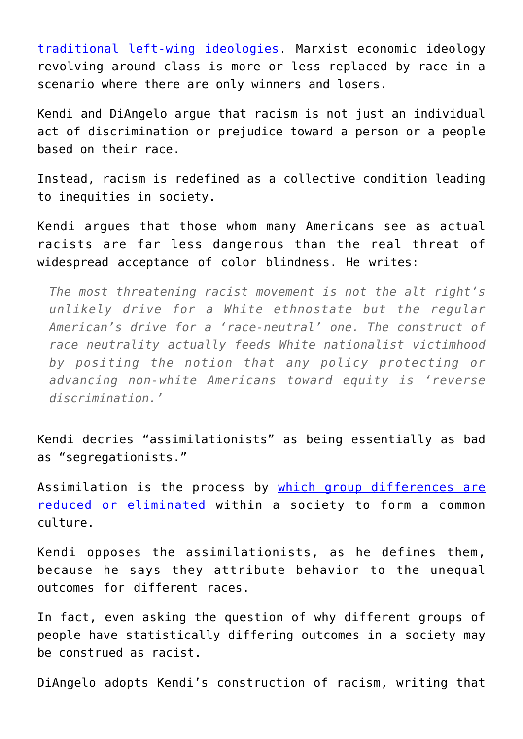[traditional left-wing ideologies.](https://www.dailysignal.com/2020/08/02/how-wokeness-is-a-product-of-marxism/) Marxist economic ideology revolving around class is more or less replaced by race in a scenario where there are only winners and losers.

Kendi and DiAngelo argue that racism is not just an individual act of discrimination or prejudice toward a person or a people based on their race.

Instead, racism is redefined as a collective condition leading to inequities in society.

Kendi argues that those whom many Americans see as actual racists are far less dangerous than the real threat of widespread acceptance of color blindness. He writes:

*The most threatening racist movement is not the alt right's unlikely drive for a White ethnostate but the regular American's drive for a 'race-neutral' one. The construct of race neutrality actually feeds White nationalist victimhood by positing the notion that any policy protecting or advancing non-white Americans toward equity is 'reverse discrimination.'*

Kendi decries "assimilationists" as being essentially as bad as "segregationists."

Assimilation is the process by [which group differences are](https://www.heritage.org/immigration/report/patriotic-assimilation-indispensable-condition-land-immigrants?_ga=2.196352876.1571070943.1597073459-558362307.1588960120) [reduced or eliminated](https://www.heritage.org/immigration/report/patriotic-assimilation-indispensable-condition-land-immigrants?_ga=2.196352876.1571070943.1597073459-558362307.1588960120) within a society to form a common culture.

Kendi opposes the assimilationists, as he defines them, because he says they attribute behavior to the unequal outcomes for different races.

In fact, even asking the question of why different groups of people have statistically differing outcomes in a society may be construed as racist.

DiAngelo adopts Kendi's construction of racism, writing that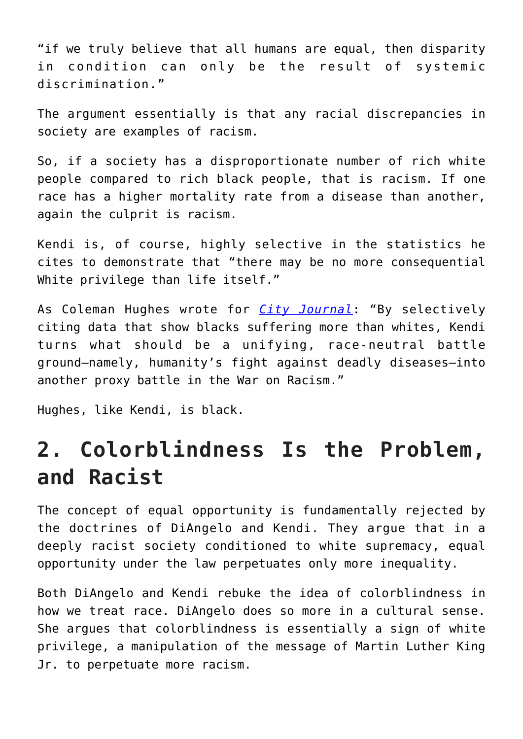"if we truly believe that all humans are equal, then disparity in condition can only be the result of systemic discrimination."

The argument essentially is that any racial discrepancies in society are examples of racism.

So, if a society has a disproportionate number of rich white people compared to rich black people, that is racism. If one race has a higher mortality rate from a disease than another, again the culprit is racism.

Kendi is, of course, highly selective in the statistics he cites to demonstrate that "there may be no more consequential White privilege than life itself."

As Coleman Hughes wrote for *[City Journal](https://www.city-journal.org/how-to-be-an-antiracist)*: "By selectively citing data that show blacks suffering more than whites, Kendi turns what should be a unifying, race-neutral battle ground—namely, humanity's fight against deadly diseases—into another proxy battle in the War on Racism."

Hughes, like Kendi, is black.

## **2. Colorblindness Is the Problem, and Racist**

The concept of equal opportunity is fundamentally rejected by the doctrines of DiAngelo and Kendi. They argue that in a deeply racist society conditioned to white supremacy, equal opportunity under the law perpetuates only more inequality.

Both DiAngelo and Kendi rebuke the idea of colorblindness in how we treat race. DiAngelo does so more in a cultural sense. She argues that colorblindness is essentially a sign of white privilege, a manipulation of the message of Martin Luther King Jr. to perpetuate more racism.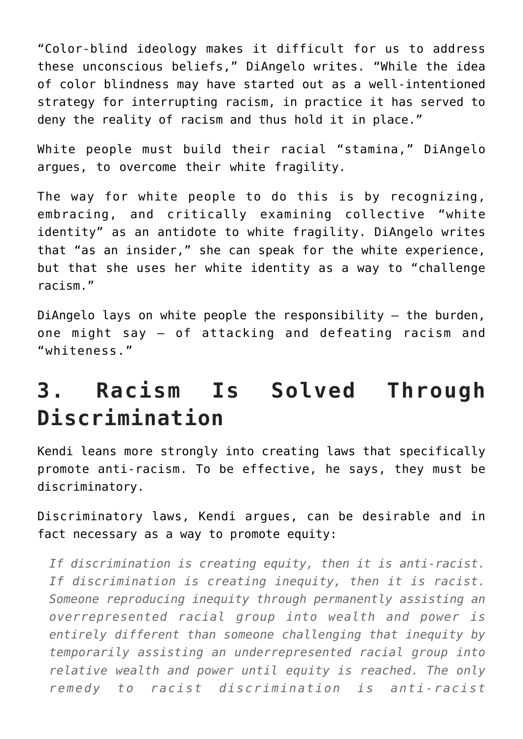"Color-blind ideology makes it difficult for us to address these unconscious beliefs," DiAngelo writes. "While the idea of color blindness may have started out as a well-intentioned strategy for interrupting racism, in practice it has served to deny the reality of racism and thus hold it in place."

White people must build their racial "stamina," DiAngelo argues, to overcome their white fragility.

The way for white people to do this is by recognizing, embracing, and critically examining collective "white identity" as an antidote to white fragility. DiAngelo writes that "as an insider," she can speak for the white experience, but that she uses her white identity as a way to "challenge racism."

DiAngelo lays on white people the responsibility – the burden, one might say – of attacking and defeating racism and "whiteness."

## **3. Racism Is Solved Through Discrimination**

Kendi leans more strongly into creating laws that specifically promote anti-racism. To be effective, he says, they must be discriminatory.

Discriminatory laws, Kendi argues, can be desirable and in fact necessary as a way to promote equity:

*If discrimination is creating equity, then it is anti-racist. If discrimination is creating inequity, then it is racist. Someone reproducing inequity through permanently assisting an overrepresented racial group into wealth and power is entirely different than someone challenging that inequity by temporarily assisting an underrepresented racial group into relative wealth and power until equity is reached. The only remedy to racist discrimination is anti-racist*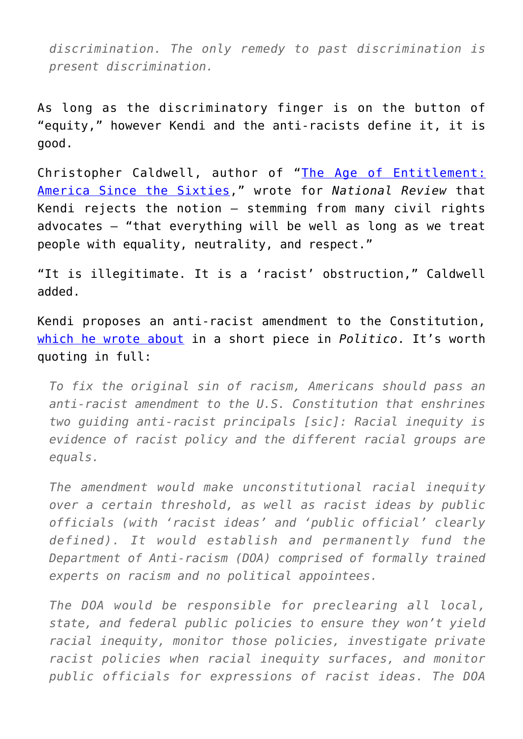*discrimination. The only remedy to past discrimination is present discrimination.*

As long as the discriminatory finger is on the button of "equity," however Kendi and the anti-racists define it, it is good.

Christopher Caldwell, author of "[The Age of Entitlement:](https://www.amazon.com/gp/product/1501106899/ref=as_li_tl?ie=UTF8&camp=1789&creative=9325&creativeASIN=1501106899&linkCode=as2&tag=intelltakeo0d-20&linkId=c11f6c4362e97f1416334aefc6b8afaa) [America Since the Sixties,](https://www.amazon.com/gp/product/1501106899/ref=as_li_tl?ie=UTF8&camp=1789&creative=9325&creativeASIN=1501106899&linkCode=as2&tag=intelltakeo0d-20&linkId=c11f6c4362e97f1416334aefc6b8afaa)" wrote for *National Review* that Kendi rejects the notion – stemming from many civil rights advocates – "that everything will be well as long as we treat people with equality, neutrality, and respect."

"It is illegitimate. It is a 'racist' obstruction," Caldwell added.

Kendi proposes an anti-racist amendment to the Constitution, [which he wrote about](https://www.politico.com/interactives/2019/how-to-fix-politics-in-america/inequality/pass-an-anti-racist-constitutional-amendment/) in a short piece in *Politico*. It's worth quoting in full:

*To fix the original sin of racism, Americans should pass an anti-racist amendment to the U.S. Constitution that enshrines two guiding anti-racist principals [sic]: Racial inequity is evidence of racist policy and the different racial groups are equals.*

*The amendment would make unconstitutional racial inequity over a certain threshold, as well as racist ideas by public officials (with 'racist ideas' and 'public official' clearly defined). It would establish and permanently fund the Department of Anti-racism (DOA) comprised of formally trained experts on racism and no political appointees.*

*The DOA would be responsible for preclearing all local, state, and federal public policies to ensure they won't yield racial inequity, monitor those policies, investigate private racist policies when racial inequity surfaces, and monitor public officials for expressions of racist ideas. The DOA*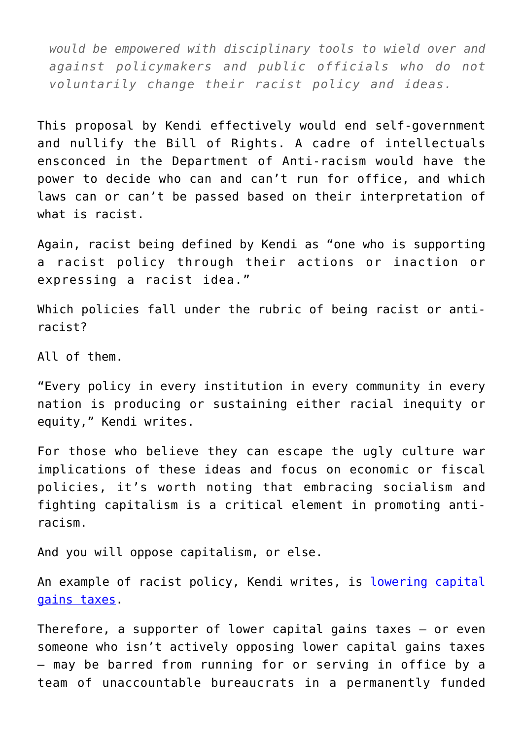*would be empowered with disciplinary tools to wield over and against policymakers and public officials who do not voluntarily change their racist policy and ideas.*

This proposal by Kendi effectively would end self-government and nullify the Bill of Rights. A cadre of intellectuals ensconced in the Department of Anti-racism would have the power to decide who can and can't run for office, and which laws can or can't be passed based on their interpretation of what is racist.

Again, racist being defined by Kendi as "one who is supporting a racist policy through their actions or inaction or expressing a racist idea."

Which policies fall under the rubric of being racist or antiracist?

All of them.

"Every policy in every institution in every community in every nation is producing or sustaining either racial inequity or equity," Kendi writes.

For those who believe they can escape the ugly culture war implications of these ideas and focus on economic or fiscal policies, it's worth noting that embracing socialism and fighting capitalism is a critical element in promoting antiracism.

And you will oppose capitalism, or else.

An example of racist policy, Kendi writes, is [lowering capital](https://podcasts.apple.com/us/podcast/ibram-x-kendi-wants-to-redefine-racism/id1081584611?i=1000452609664) [gains taxes.](https://podcasts.apple.com/us/podcast/ibram-x-kendi-wants-to-redefine-racism/id1081584611?i=1000452609664)

Therefore, a supporter of lower capital gains taxes – or even someone who isn't actively opposing lower capital gains taxes – may be barred from running for or serving in office by a team of unaccountable bureaucrats in a permanently funded